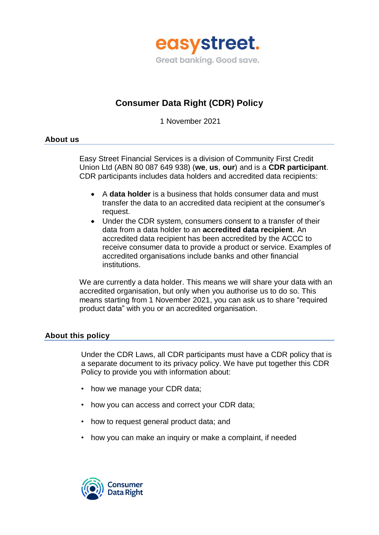

# **Consumer Data Right (CDR) Policy**

1 November 2021

# **About us**

Easy Street Financial Services is a division of Community First Credit Union Ltd (ABN 80 087 649 938) (**we**, **us**, **our**) and is a **CDR participant**. CDR participants includes data holders and accredited data recipients:

- A **data holder** is a business that holds consumer data and must transfer the data to an accredited data recipient at the consumer's request.
- Under the CDR system, consumers consent to a transfer of their data from a data holder to an **accredited data recipient**. An accredited data recipient has been accredited by the ACCC to receive consumer data to provide a product or service. Examples of accredited organisations include banks and other financial institutions.

We are currently a data holder. This means we will share your data with an accredited organisation, but only when you authorise us to do so. This means starting from 1 November 2021, you can ask us to share "required product data" with you or an accredited organisation.

# **About this policy**

Under the CDR Laws, all CDR participants must have a CDR policy that is a separate document to its privacy policy. We have put together this CDR Policy to provide you with information about:

- how we manage your CDR data;
- how you can access and correct your CDR data;
- how to request general product data; and
- how you can make an inquiry or make a complaint, if needed

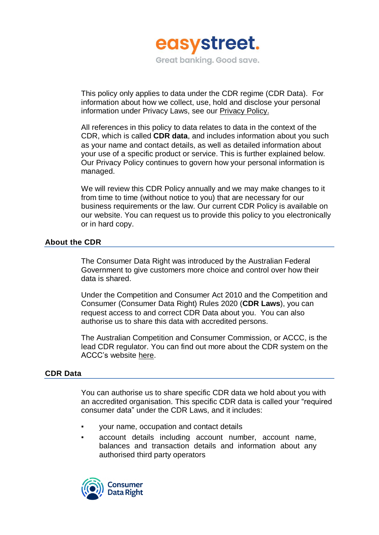

This policy only applies to data under the CDR regime (CDR Data). For information about how we collect, use, hold and disclose your personal information under Privacy Laws, see our [Privacy](https://www.easystreet.com.au/privacy-policy) Policy.

All references in this policy to data relates to data in the context of the CDR, which is called **CDR data**, and includes information about you such as your name and contact details, as well as detailed information about your use of a specific product or service. This is further explained below. Our Privacy Policy continues to govern how your personal information is managed.

We will review this CDR Policy annually and we may make changes to it from time to time (without notice to you) that are necessary for our business requirements or the law. Our current CDR Policy is available on our website. You can request us to provide this policy to you electronically or in hard copy.

# **About the CDR**

The Consumer Data Right was introduced by the Australian Federal Government to give customers more choice and control over how their data is shared.

Under the Competition and Consumer Act 2010 and the Competition and Consumer (Consumer Data Right) Rules 2020 (**CDR Laws**), you can request access to and correct CDR Data about you. You can also authorise us to share this data with accredited persons.

The Australian Competition and Consumer Commission, or ACCC, is the lead CDR regulator. You can find out more about the CDR system on the ACCC's website [here.](https://www.accc.gov.au/)

#### **CDR Data**

You can authorise us to share specific CDR data we hold about you with an accredited organisation. This specific CDR data is called your "required consumer data" under the CDR Laws, and it includes:

- your name, occupation and contact details
- account details including account number, account name, balances and transaction details and information about any authorised third party operators

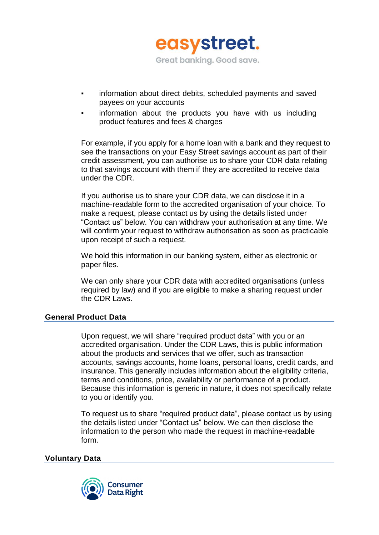

- information about direct debits, scheduled payments and saved payees on your accounts
- information about the products you have with us including product features and fees & charges

For example, if you apply for a home loan with a bank and they request to see the transactions on your Easy Street savings account as part of their credit assessment, you can authorise us to share your CDR data relating to that savings account with them if they are accredited to receive data under the CDR.

If you authorise us to share your CDR data, we can disclose it in a machine-readable form to the accredited organisation of your choice. To make a request, please contact us by using the details listed under "Contact us" below. You can withdraw your authorisation at any time. We will confirm your request to withdraw authorisation as soon as practicable upon receipt of such a request.

We hold this information in our banking system, either as electronic or paper files.

We can only share your CDR data with accredited organisations (unless required by law) and if you are eligible to make a sharing request under the CDR Laws.

# **General Product Data**

Upon request, we will share "required product data" with you or an accredited organisation. Under the CDR Laws, this is public information about the products and services that we offer, such as transaction accounts, savings accounts, home loans, personal loans, credit cards, and insurance. This generally includes information about the eligibility criteria, terms and conditions, price, availability or performance of a product. Because this information is generic in nature, it does not specifically relate to you or identify you.

To request us to share "required product data", please contact us by using the details listed under "Contact us" below. We can then disclose the information to the person who made the request in machine-readable form.

#### **Voluntary Data**

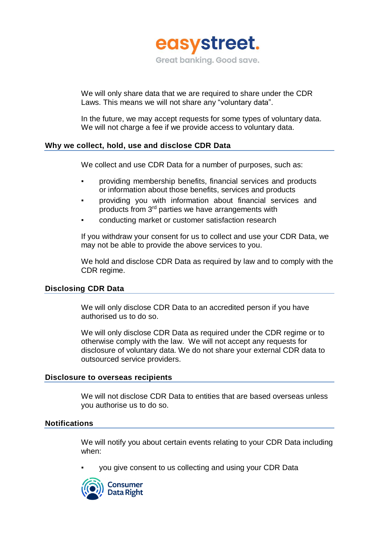

We will only share data that we are required to share under the CDR Laws. This means we will not share any "voluntary data".

In the future, we may accept requests for some types of voluntary data. We will not charge a fee if we provide access to voluntary data.

# **Why we collect, hold, use and disclose CDR Data**

We collect and use CDR Data for a number of purposes, such as:

- providing membership benefits, financial services and products or information about those benefits, services and products
- providing you with information about financial services and products from 3<sup>rd</sup> parties we have arrangements with
- conducting market or customer satisfaction research

If you withdraw your consent for us to collect and use your CDR Data, we may not be able to provide the above services to you.

We hold and disclose CDR Data as required by law and to comply with the CDR regime.

# **Disclosing CDR Data**

We will only disclose CDR Data to an accredited person if you have authorised us to do so.

We will only disclose CDR Data as required under the CDR regime or to otherwise comply with the law. We will not accept any requests for disclosure of voluntary data. We do not share your external CDR data to outsourced service providers.

#### **Disclosure to overseas recipients**

We will not disclose CDR Data to entities that are based overseas unless you authorise us to do so.

#### **Notifications**

We will notify you about certain events relating to your CDR Data including when:

you give consent to us collecting and using your CDR Data

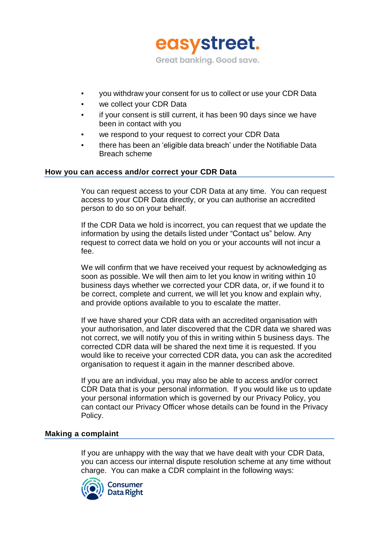

- you withdraw your consent for us to collect or use your CDR Data
- we collect your CDR Data
- if your consent is still current, it has been 90 days since we have been in contact with you
- we respond to your request to correct your CDR Data
- there has been an 'eligible data breach' under the Notifiable Data Breach scheme

#### **How you can access and/or correct your CDR Data**

You can request access to your CDR Data at any time. You can request access to your CDR Data directly, or you can authorise an accredited person to do so on your behalf.

If the CDR Data we hold is incorrect, you can request that we update the information by using the details listed under "Contact us" below. Any request to correct data we hold on you or your accounts will not incur a fee.

We will confirm that we have received your request by acknowledging as soon as possible. We will then aim to let you know in writing within 10 business days whether we corrected your CDR data, or, if we found it to be correct, complete and current, we will let you know and explain why, and provide options available to you to escalate the matter.

If we have shared your CDR data with an accredited organisation with your authorisation, and later discovered that the CDR data we shared was not correct, we will notify you of this in writing within 5 business days. The corrected CDR data will be shared the next time it is requested. If you would like to receive your corrected CDR data, you can ask the accredited organisation to request it again in the manner described above.

If you are an individual, you may also be able to access and/or correct CDR Data that is your personal information. If you would like us to update your personal information which is governed by our Privacy Policy, you can contact our Privacy Officer whose details can be found in the Privacy Policy.

#### **Making a complaint**

If you are unhappy with the way that we have dealt with your CDR Data, you can access our internal dispute resolution scheme at any time without charge. You can make a CDR complaint in the following ways:

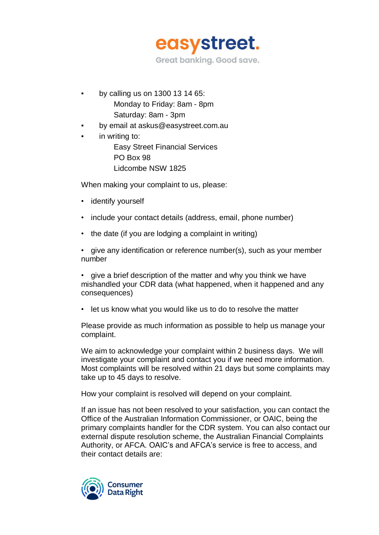

- by calling us on 1300 13 14 65: Monday to Friday: 8am - 8pm Saturday: 8am - 3pm
- by email at askus@easystreet.com.au
- in writing to: Easy Street Financial Services PO Box 98 Lidcombe NSW 1825

When making your complaint to us, please:

- identify yourself
- include your contact details (address, email, phone number)
- the date (if you are lodging a complaint in writing)

• give any identification or reference number(s), such as your member number

• give a brief description of the matter and why you think we have mishandled your CDR data (what happened, when it happened and any consequences)

• let us know what you would like us to do to resolve the matter

Please provide as much information as possible to help us manage your complaint.

We aim to acknowledge your complaint within 2 business days. We will investigate your complaint and contact you if we need more information. Most complaints will be resolved within 21 days but some complaints may take up to 45 days to resolve.

How your complaint is resolved will depend on your complaint.

If an issue has not been resolved to your satisfaction, you can contact the Office of the Australian Information Commissioner, or OAIC, being the primary complaints handler for the CDR system. You can also contact our external dispute resolution scheme, the Australian Financial Complaints Authority, or AFCA. OAIC's and AFCA's service is free to access, and their contact details are: